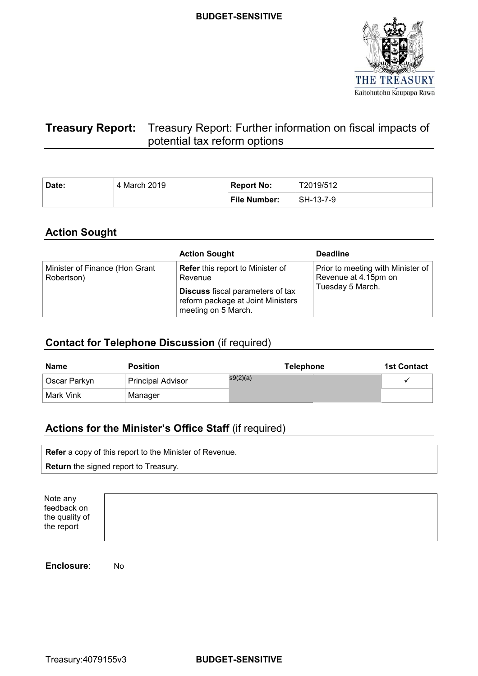

# **Treasury Report:** Treasury Report: Further information on fiscal impacts of potential tax reform options

| Date: | 4 March 2019 | Report No:          | T2019/512 |
|-------|--------------|---------------------|-----------|
|       |              | <b>File Number:</b> | SH-13-7-9 |

# **Action Sought**

|                                              | <b>Action Sought</b>                                                                                                                                      | <b>Deadline</b>                                                               |
|----------------------------------------------|-----------------------------------------------------------------------------------------------------------------------------------------------------------|-------------------------------------------------------------------------------|
| Minister of Finance (Hon Grant<br>Robertson) | <b>Refer</b> this report to Minister of<br>Revenue<br><b>Discuss</b> fiscal parameters of tax<br>reform package at Joint Ministers<br>meeting on 5 March. | Prior to meeting with Minister of<br>Revenue at 4.15pm on<br>Tuesday 5 March. |

# **Contact for Telephone Discussion** (if required)

| <b>Name</b>    | <b>Position</b>          | <b>Telephone</b> | <b>1st Contact</b> |
|----------------|--------------------------|------------------|--------------------|
| ∣ Oscar Parkyn | <b>Principal Advisor</b> | s9(2)(a)         |                    |
| l Mark Vink    | Manager                  |                  |                    |

# **Actions for the Minister's Office Staff** (if required)

| <b>Refer</b> a copy of this report to the Minister of Revenue. |
|----------------------------------------------------------------|
| <b>Return</b> the signed report to Treasury.                   |
|                                                                |

| Note any<br>feedback on      |  |  |
|------------------------------|--|--|
| the quality of<br>the report |  |  |
|                              |  |  |

**Enclosure**: No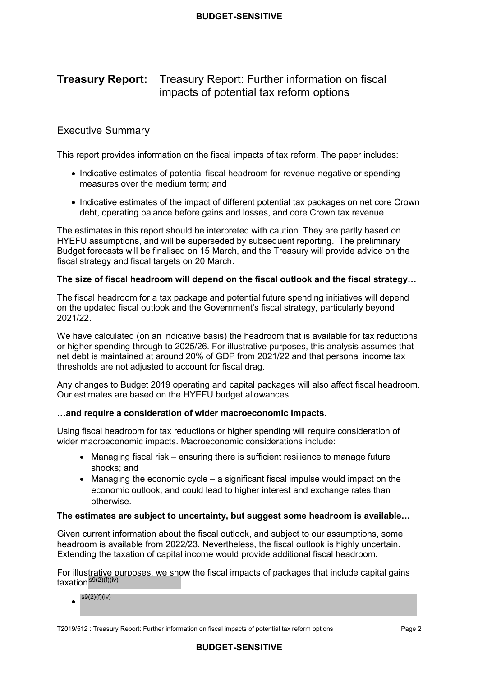#### **Treasury Report: Treasury Report:** Treasury Report: Further information on fiscal impacts of potential tax reform options

## Executive Summary

This report provides information on the fiscal impacts of tax reform. The paper includes:

- • Indicative estimates of potential fiscal headroom for revenue-negative or spending measures over the medium term; and
- • Indicative estimates of the impact of different potential tax packages on net core Crown debt, operating balance before gains and losses, and core Crown tax revenue.

 The estimates in this report should be interpreted with caution. They are partly based on HYEFU assumptions, and will be superseded by subsequent reporting. The preliminary Budget forecasts will be finalised on 15 March, and the Treasury will provide advice on the fiscal strategy and fiscal targets on 20 March.

#### **The size of fiscal headroom will depend on the fiscal outlook and the fiscal strategy…**

 The fiscal headroom for a tax package and potential future spending initiatives will depend on the updated fiscal outlook and the Government's fiscal strategy, particularly beyond 2021/22.

 We have calculated (on an indicative basis) the headroom that is available for tax reductions or higher spending through to 2025/26. For illustrative purposes, this analysis assumes that net debt is maintained at around 20% of GDP from 2021/22 and that personal income tax thresholds are not adjusted to account for fiscal drag.

 Any changes to Budget 2019 operating and capital packages will also affect fiscal headroom. Our estimates are based on the HYEFU budget allowances.

#### **…and require a consideration of wider macroeconomic impacts.**

 Using fiscal headroom for tax reductions or higher spending will require consideration of wider macroeconomic impacts. Macroeconomic considerations include:

- • Managing fiscal risk ensuring there is sufficient resilience to manage future shocks; and
- • Managing the economic cycle a significant fiscal impulse would impact on the economic outlook, and could lead to higher interest and exchange rates than otherwise.

#### **The estimates are subject to uncertainty, but suggest some headroom is available…**

 Given current information about the fiscal outlook, and subject to our assumptions, some headroom is available from 2022/23. Nevertheless, the fiscal outlook is highly uncertain. Extending the taxation of capital income would provide additional fiscal headroom.

 For illustrative purposes, we show the fiscal impacts of packages that include capital gains taxation  $s9(2)(f)(iv)$ 

 $s9(2)(f)(iv)$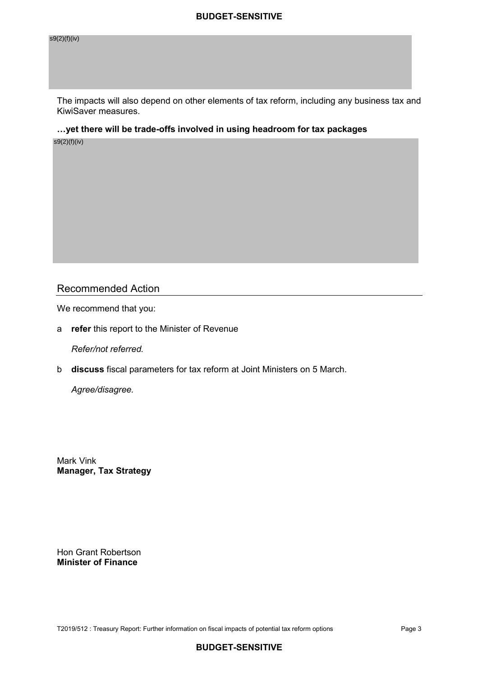s9(2)(f)(iv)

 The impacts will also depend on other elements of tax reform, including any business tax and KiwiSaver measures.

 **…yet there will be trade-offs involved in using headroom for tax packages** 

s9(2)(f)(iv)

# Recommended Action

We recommend that you:

a **refer** this report to the Minister of Revenue

 *Refer/not referred.* 

b **discuss** fiscal parameters for tax reform at Joint Ministers on 5 March.

 *Agree/disagree.* 

 Mark Vink **Manager, Tax Strategy**

 Hon Grant Robertson  **Minister of Finance** 

T2019/512 : Treasury Report: Further information on fiscal impacts of potential tax reform options Page 3 Page 3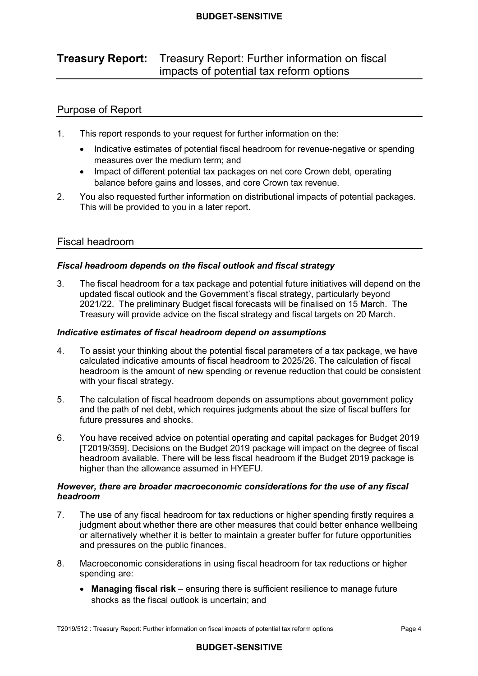#### **Treasury Report: Treasury Report: Further information on fiscal** impacts of potential tax reform options

# Purpose of Report

- $1<sup>1</sup>$ This report responds to your request for further information on the:
	- • Indicative estimates of potential fiscal headroom for revenue-negative or spending measures over the medium term; and
	- balance before gains and losses, and core Crown tax revenue. • Impact of different potential tax packages on net core Crown debt, operating
- 2. You also requested further information on distributional impacts of potential packages. This will be provided to you in a later report.

# Fiscal headroom

## *Fiscal headroom depends on the fiscal outlook and fiscal strategy*

 $3<sub>1</sub>$  updated fiscal outlook and the Government's fiscal strategy, particularly beyond 2021/22. The preliminary Budget fiscal forecasts will be finalised on 15 March. The Treasury will provide advice on the fiscal strategy and fiscal targets on 20 March. The fiscal headroom for a tax package and potential future initiatives will depend on the

### *Indicative estimates of fiscal headroom depend on assumptions*

- $\overline{4}$  calculated indicative amounts of fiscal headroom to 2025/26. The calculation of fiscal headroom is the amount of new spending or revenue reduction that could be consistent with your fiscal strategy. 4. To assist your thinking about the potential fiscal parameters of a tax package, we have
- 5. and the path of net debt, which requires judgments about the size of fiscal buffers for future pressures and shocks. The calculation of fiscal headroom depends on assumptions about government policy
- 6. You have received advice on potential operating and capital packages for Budget 2019 [T2019/359]. Decisions on the Budget 2019 package will impact on the degree of fiscal headroom available. There will be less fiscal headroom if the Budget 2019 package is higher than the allowance assumed in HYEFU.

## *headroom However, there are broader macroeconomic considerations for the use of any fiscal*

- $7<sub>1</sub>$  judgment about whether there are other measures that could better enhance wellbeing or alternatively whether it is better to maintain a greater buffer for future opportunities and pressures on the public finances. The use of any fiscal headroom for tax reductions or higher spending firstly requires a
- 8. Macroeconomic considerations in using fiscal headroom for tax reductions or higher spending are:
	- **Managing fiscal risk** ensuring there is sufficient resilience to manage future shocks as the fiscal outlook is uncertain; and

T2019/512 : Treasury Report: Further information on fiscal impacts of potential tax reform options Page 4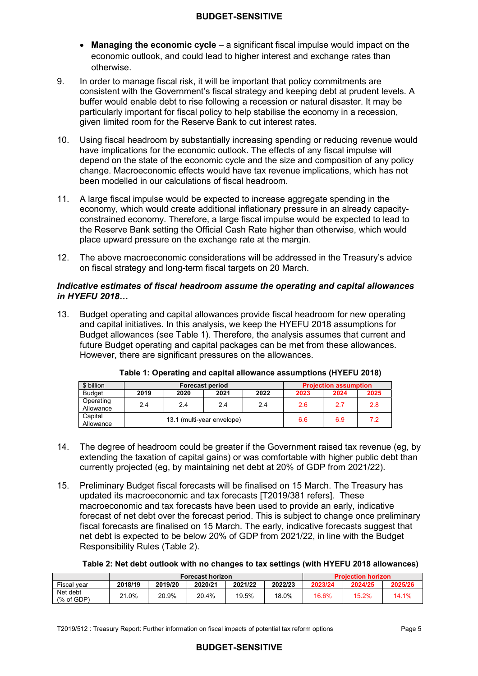- **Managing the economic cycle** a significant fiscal impulse would impact on the economic outlook, and could lead to higher interest and exchange rates than otherwise.
- 9. consistent with the Government's fiscal strategy and keeping debt at prudent levels. A buffer would enable debt to rise following a recession or natural disaster. It may be particularly important for fiscal policy to help stabilise the economy in a recession, given limited room for the Reserve Bank to cut interest rates. 9. In order to manage fiscal risk, it will be important that policy commitments are
- 10. Using fiscal headroom by substantially increasing spending or reducing revenue would have implications for the economic outlook. The effects of any fiscal impulse will depend on the state of the economic cycle and the size and composition of any policy change. Macroeconomic effects would have tax revenue implications, which has not been modelled in our calculations of fiscal headroom.
- $11<sub>1</sub>$  economy, which would create additional inflationary pressure in an already capacity- constrained economy. Therefore, a large fiscal impulse would be expected to lead to the Reserve Bank setting the Official Cash Rate higher than otherwise, which would place upward pressure on the exchange rate at the margin. A large fiscal impulse would be expected to increase aggregate spending in the
- 12. The above macroeconomic considerations will be addressed in the Treasury's advice on fiscal strategy and long-term fiscal targets on 20 March.

### *Indicative estimates of fiscal headroom assume the operating and capital allowances in HYEFU 2018…*

 $13<sup>7</sup>$  and capital initiatives. In this analysis, we keep the HYEFU 2018 assumptions for Budget allowances (see Table 1). Therefore, the analysis assumes that current and future Budget operating and capital packages can be met from these allowances. However, there are significant pressures on the allowances. Budget operating and capital allowances provide fiscal headroom for new operating

| \$ billion             |      | <b>Forecast period</b> |                            | <b>Projection assumption</b> |      |      |      |
|------------------------|------|------------------------|----------------------------|------------------------------|------|------|------|
| <b>Budget</b>          | 2019 | 2020                   | 2021                       | 2022                         | 2023 | 2024 | 2025 |
| Operating<br>Allowance | 2.4  | 2.4                    | 2.4                        | 2.4                          | 2.6  | 27   | 2.8  |
| Capital<br>Allowance   |      |                        | 13.1 (multi-vear envelope) | 6.6                          | 6.9  |      |      |

|  | Table 1: Operating and capital allowance assumptions (HYEFU 2018) |  |  |
|--|-------------------------------------------------------------------|--|--|
|  |                                                                   |  |  |

- 14. The degree of headroom could be greater if the Government raised tax revenue (eg, by extending the taxation of capital gains) or was comfortable with higher public debt than currently projected (eg, by maintaining net debt at 20% of GDP from 2021/22).
- 15. Preliminary Budget fiscal forecasts will be finalised on 15 March. The Treasury has updated its macroeconomic and tax forecasts [T2019/381 refers]. These macroeconomic and tax forecasts have been used to provide an early, indicative forecast of net debt over the forecast period. This is subject to change once preliminary fiscal forecasts are finalised on 15 March. The early, indicative forecasts suggest that net debt is expected to be below 20% of GDP from 2021/22, in line with the Budget Responsibility Rules (Table 2).

#### **Table 2: Net debt outlook with no changes to tax settings (with HYEFU 2018 allowances)**

|                        |         |         | <b>Forecast horizon</b> | <b>Projection horizon</b> |         |         |         |         |
|------------------------|---------|---------|-------------------------|---------------------------|---------|---------|---------|---------|
| Fiscal year            | 2018/19 | 2019/20 | 2020/21                 | 2021/22                   | 2022/23 | 2023/24 | 2024/25 | 2025/26 |
| Net debt<br>(% of GDP) | 21.0%   | 20.9%   | 20.4%                   | 19.5%                     | 18.0%   | 16.6%   | 15.2%   | 14.1%   |

T2019/512 : Treasury Report: Further information on fiscal impacts of potential tax reform options Page 5 Page 5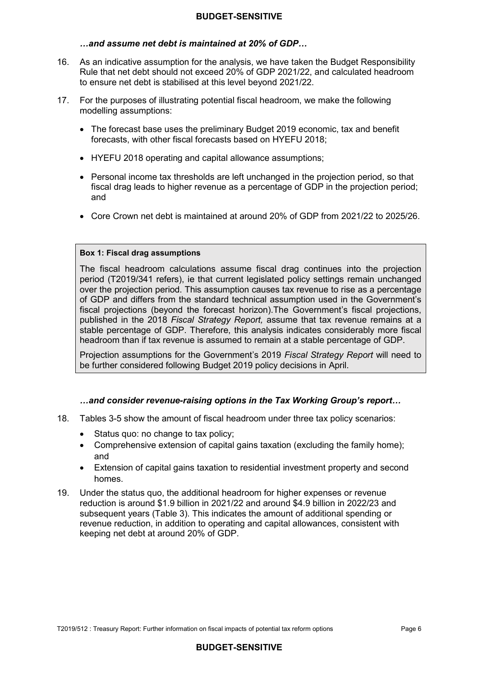### *…and assume net debt is maintained at 20% of GDP…*

- $16.$  Rule that net debt should not exceed 20% of GDP 2021/22, and calculated headroom to ensure net debt is stabilised at this level beyond 2021/22. 16. As an indicative assumption for the analysis, we have taken the Budget Responsibility
- $17.$ 17. For the purposes of illustrating potential fiscal headroom, we make the following modelling assumptions:
	- • The forecast base uses the preliminary Budget 2019 economic, tax and benefit forecasts, with other fiscal forecasts based on HYEFU 2018;
	- HYEFU 2018 operating and capital allowance assumptions;
	- • Personal income tax thresholds are left unchanged in the projection period, so that fiscal drag leads to higher revenue as a percentage of GDP in the projection period; and
	- Core Crown net debt is maintained at around 20% of GDP from 2021/22 to 2025/26.

#### **Box 1: Fiscal drag assumptions**

 The fiscal headroom calculations assume fiscal drag continues into the projection period (T2019/341 refers), ie that current legislated policy settings remain unchanged over the projection period. This assumption causes tax revenue to rise as a percentage of GDP and differs from the standard technical assumption used in the Government's fiscal projections (beyond the forecast horizon).The Government's fiscal projections, published in the 2018 *Fiscal Strategy Report,* assume that tax revenue remains at a stable percentage of GDP. Therefore, this analysis indicates considerably more fiscal headroom than if tax revenue is assumed to remain at a stable percentage of GDP.

 Projection assumptions for the Government's 2019 *Fiscal Strategy Report* will need to be further considered following Budget 2019 policy decisions in April.

#### *…and consider revenue-raising options in the Tax Working Group's report…*

- 18. Tables 3-5 show the amount of fiscal headroom under three tax policy scenarios:
	- $\bullet$ Status quo: no change to tax policy;
	- • Comprehensive extension of capital gains taxation (excluding the family home); and
	- • Extension of capital gains taxation to residential investment property and second homes.
- $19<sup>°</sup>$  reduction is around \$1.9 billion in 2021/22 and around \$4.9 billion in 2022/23 and subsequent years (Table 3). This indicates the amount of additional spending or revenue reduction, in addition to operating and capital allowances, consistent with keeping net debt at around 20% of GDP. 19. Under the status quo, the additional headroom for higher expenses or revenue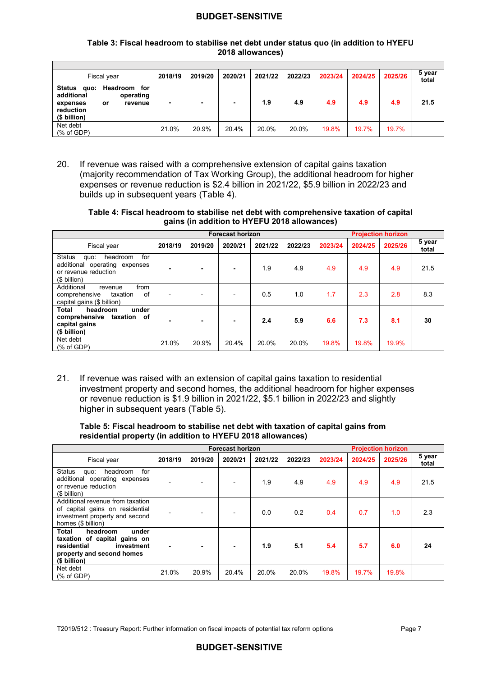#### **Table 3: Fiscal headroom to stabilise net debt under status quo (in addition to HYEFU 2018 allowances)**

| Fiscal year                                                                                                                   | 2018/19 | 2019/20 | 2020/21 | 2021/22 | 2022/23 | 2023/24 | 2024/25 | 2025/26 | 5 year<br>total |
|-------------------------------------------------------------------------------------------------------------------------------|---------|---------|---------|---------|---------|---------|---------|---------|-----------------|
| <b>Status</b><br>Headroom<br>for<br>quo:<br>additional<br>operating<br>expenses<br>revenue<br>or<br>reduction<br>(\$ billion) | ۰       | ٠       |         | 1.9     | 4.9     | 4.9     | 4.9     | 4.9     | 21.5            |
| Net debt<br>(% of GDP)                                                                                                        | 21.0%   | 20.9%   | 20.4%   | 20.0%   | 20.0%   | 19.8%   | 19.7%   | 19.7%   |                 |

 $20.$  (majority recommendation of Tax Working Group), the additional headroom for higher expenses or revenue reduction is \$2.4 billion in 2021/22, \$5.9 billion in 2022/23 and builds up in subsequent years (Table 4). If revenue was raised with a comprehensive extension of capital gains taxation

#### **Table 4: Fiscal headroom to stabilise net debt with comprehensive taxation of capital gains (in addition to HYEFU 2018 allowances)**

|                                                                                                                       |                | <b>Forecast horizon</b>  |                |         |         |         |         | <b>Projection horizon</b> |                 |
|-----------------------------------------------------------------------------------------------------------------------|----------------|--------------------------|----------------|---------|---------|---------|---------|---------------------------|-----------------|
| Fiscal year                                                                                                           | 2018/19        | 2019/20                  | 2020/21        | 2021/22 | 2022/23 | 2023/24 | 2024/25 | 2025/26                   | 5 year<br>total |
| for<br><b>Status</b><br>headroom<br>quo:<br>additional operating expenses<br>or revenue reduction<br>$($$ billion $)$ | ٠              | ٠                        | ٠              | 1.9     | 4.9     | 4.9     | 4.9     | 4.9                       | 21.5            |
| from<br>Additional<br>revenue<br>of<br>comprehensive<br>taxation<br>capital gains (\$ billion)                        | $\blacksquare$ | $\overline{\phantom{0}}$ |                | 0.5     | 1.0     | 1.7     | 2.3     | 2.8                       | 8.3             |
| Total<br>headroom<br>under<br>comprehensive<br>taxation<br>of<br>capital gains<br>(\$ billion)                        |                | ۰                        | $\blacksquare$ | 2.4     | 5.9     | 6.6     | 7.3     | 8.1                       | 30              |
| Net debt<br>(% of GDP)                                                                                                | 21.0%          | 20.9%                    | 20.4%          | 20.0%   | 20.0%   | 19.8%   | 19.8%   | 19.9%                     |                 |

 21. If revenue was raised with an extension of capital gains taxation to residential investment property and second homes, the additional headroom for higher expenses or revenue reduction is \$1.9 billion in 2021/22, \$5.1 billion in 2022/23 and slightly higher in subsequent years (Table 5).

#### **residential property (in addition to HYEFU 2018 allowances) Table 5: Fiscal headroom to stabilise net debt with taxation of capital gains from**

|                                                                                                                                             |         | <b>Forecast horizon</b> |                          |         |         | <b>Projection horizon</b> |         |         |                 |
|---------------------------------------------------------------------------------------------------------------------------------------------|---------|-------------------------|--------------------------|---------|---------|---------------------------|---------|---------|-----------------|
| Fiscal year                                                                                                                                 | 2018/19 | 2019/20                 | 2020/21                  | 2021/22 | 2022/23 | 2023/24                   | 2024/25 | 2025/26 | 5 year<br>total |
| for<br>Status<br>headroom<br>quo:<br>additional operating expenses<br>or revenue reduction<br>(\$ billion)                                  |         |                         |                          | 1.9     | 4.9     | 4.9                       | 4.9     | 4.9     | 21.5            |
| Additional revenue from taxation<br>of capital gains on residential<br>investment property and second<br>homes (\$ billion)                 |         |                         | $\overline{\phantom{0}}$ | 0.0     | 0.2     | 0.4                       | 0.7     | 1.0     | 2.3             |
| <b>Total</b><br>headroom<br>under<br>taxation of capital gains on<br>residential<br>investment<br>property and second homes<br>(\$ billion) |         |                         | ۰                        | 1.9     | 5.1     | 5.4                       | 5.7     | 6.0     | 24              |
| Net debt<br>(% of GDP)                                                                                                                      | 21.0%   | 20.9%                   | 20.4%                    | 20.0%   | 20.0%   | 19.8%                     | 19.7%   | 19.8%   |                 |

# **BUDGET-SENSITIVE**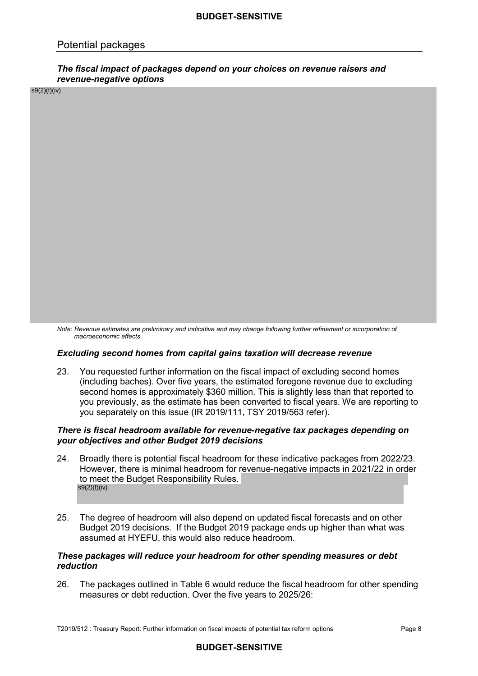## Potential packages

#### *The fiscal impact of packages depend on your choices on revenue raisers and revenue-negative options*

s9(2)(f)(iv)

*Note: Revenue estimates are preliminary and indicative and may change following further refinement or incorporation of macroeconomic effects.* 

#### *Excluding second homes from capital gains taxation will decrease revenue*

 23. You requested further information on the fiscal impact of excluding second homes (including baches). Over five years, the estimated foregone revenue due to excluding second homes is approximately \$360 million. This is slightly less than that reported to you previously, as the estimate has been converted to fiscal years. We are reporting to you separately on this issue (IR 2019/111, TSY 2019/563 refer).

#### *There is fiscal headroom available for revenue-negative tax packages depending on your objectives and other Budget 2019 decisions*

- $24.$ However, there is minimal headroom for revenue-negative impacts in 2021/22 in order to meet the Budget Responsibility Rules. Broadly there is potential fiscal headroom for these indicative packages from 2022/23. s9(2)(f)(iv)
- 25. Budget 2019 decisions. If the Budget 2019 package ends up higher than what was assumed at HYEFU, this would also reduce headroom. The degree of headroom will also depend on updated fiscal forecasts and on other

#### *These packages will reduce your headroom for other spending measures or debt reduction*

26. measures or debt reduction. Over the five years to 2025/26: The packages outlined in Table 6 would reduce the fiscal headroom for other spending

T2019/512 : Treasury Report: Further information on fiscal impacts of potential tax reform options Page 8 Page 8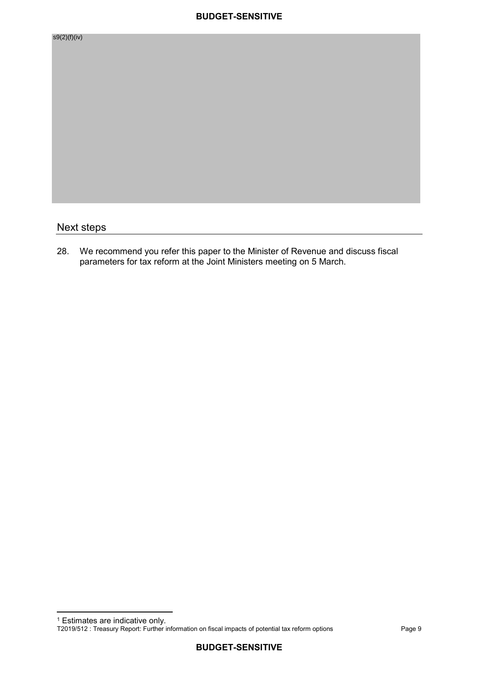| s9(2)(f)(iv) |  |  |
|--------------|--|--|
|              |  |  |
|              |  |  |
|              |  |  |
|              |  |  |
|              |  |  |
|              |  |  |
|              |  |  |
|              |  |  |
|              |  |  |
|              |  |  |
|              |  |  |
| Next steps   |  |  |

28. parameters for tax reform at the Joint Ministers meeting on 5 March. We recommend you refer this paper to the Minister of Revenue and discuss fiscal

 <sup>1</sup> Estimates are indicative only.

 T2019/512 : Treasury Report: Further information on fiscal impacts of potential tax reform options Page 9